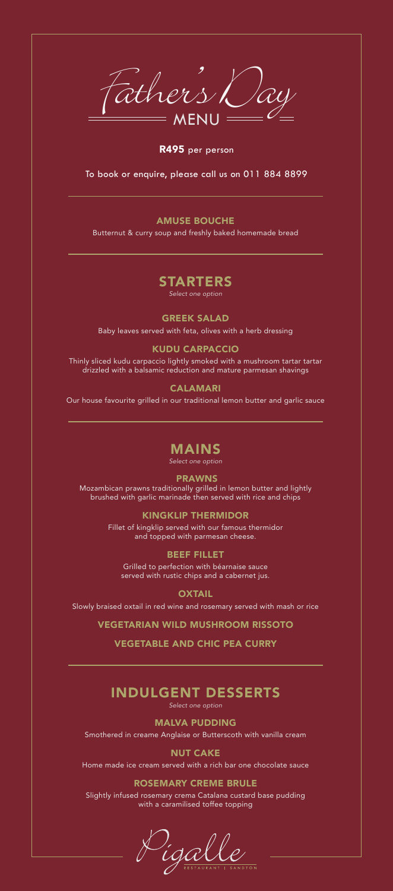$t$ hers  $\mathcal{L}$ 

R495 per person

To book or enquire, please call us on 011 884 8899

## AMUSE BOUCHE

Butternut & curry soup and freshly baked homemade bread

## STARTERS *Select one option*

GREEK SALAD Baby leaves served with feta, olives with a herb dressing

## KUDU CARPACCIO

Thinly sliced kudu carpaccio lightly smoked with a mushroom tartar tartar drizzled with a balsamic reduction and mature parmesan shavings

CALAMARI

Our house favourite grilled in our traditional lemon butter and garlic sauce

# MAINS

*Select one option*

#### PRAWNS Mozambican prawns traditionally grilled in lemon butter and lightly brushed with garlic marinade then served with rice and chips

KINGKLIP THERMIDOR Fillet of kingklip served with our famous thermidor and topped with parmesan cheese.

BEEF FILLET Grilled to perfection with béarnaise sauce served with rustic chips and a cabernet jus.

**OXTAIL** 

Slowly braised oxtail in red wine and rosemary served with mash or rice

VEGETARIAN WILD MUSHROOM RISSOTO

# VEGETABLE AND CHIC PEA CURRY

## INDULGENT DESSERTS *Select one option*

MALVA PUDDING Smothered in creame Anglaise or Butterscoth with vanilla cream

NUT CAKE Home made ice cream served with a rich bar one chocolate sauce

ROSEMARY CREME BRULE Slightly infused rosemary crema Catalana custard base pudding with a caramilised toffee topping

igall